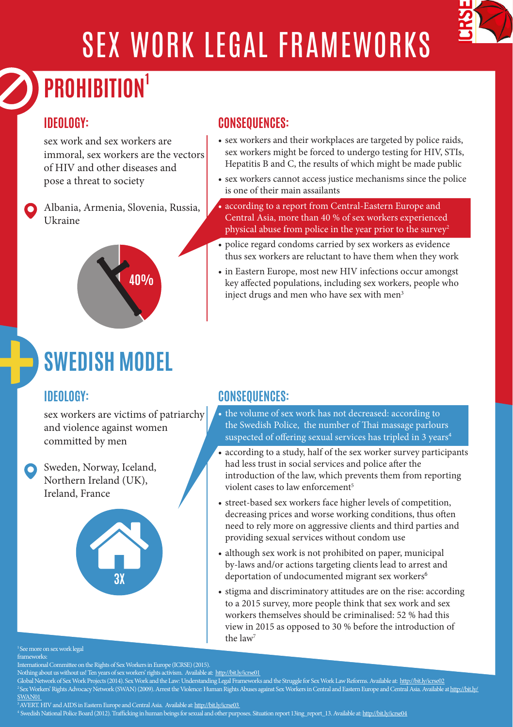

# SEX WORK LEGAL FRAMEWORKS

# **PROHIBITION1**

### **IDEOLOGY:**

sex work and sex workers are immoral, sex workers are the vectors of HIV and other diseases and pose a threat to society

Albania, Armenia, Slovenia, Russia, Ukraine



## **SWEDISH MODEL**

### **IDEOLOGY:**

sex workers are victims of patriarchy and violence against women committed by men

Sweden, Norway, Iceland, Northern Ireland (UK), Ireland, France



### **CONSEQUENCES:**

- sex workers and their workplaces are targeted by police raids, sex workers might be forced to undergo testing for HIV, STIs, Hepatitis B and C, the results of which might be made public
- sex workers cannot access justice mechanisms since the police is one of their main assailants
- according to a report from Central-Eastern Europe and Central Asia, more than 40 % of sex workers experienced physical abuse from police in the year prior to the survey<sup>2</sup>
- police regard condoms carried by sex workers as evidence thus sex workers are reluctant to have them when they work
- in Eastern Europe, most new HIV infections occur amongst key affected populations, including sex workers, people who inject drugs and men who have sex with men<sup>3</sup>

### **CONSEQUENCES:**

- the volume of sex work has not decreased: according to the Swedish Police, the number of Thai massage parlours suspected of offering sexual services has tripled in 3 years<sup>4</sup>
- according to a study, half of the sex worker survey participants had less trust in social services and police after the introduction of the law, which prevents them from reporting violent cases to law enforcement<sup>5</sup>
- street-based sex workers face higher levels of competition, decreasing prices and worse working conditions, thus often need to rely more on aggressive clients and third parties and providing sexual services without condom use
- although sex work is not prohibited on paper, municipal by-laws and/or actions targeting clients lead to arrest and deportation of undocumented migrant sex workers<sup>6</sup>
- stigma and discriminatory attitudes are on the rise: according to a 2015 survey, more people think that sex work and sex workers themselves should be criminalised: 52 % had this view in 2015 as opposed to 30 % before the introduction of the law7

#### <sup>1</sup> See more on sex work legal

frameworks

International Committee on the Rights of Sex Workers in Europe (ICRSE) (2015).<br>Nothing about us without us! Ten years of sex workers' rights activism. Available at: http://bit.ly/icrse01<br>Global Network of Sex Work Projects 2 Sex Workers' Rights Advocacy Network (SWAN) (2009). Arrest the Violence: Human Rights Abuses against Sex Workers in Central and Eastern Europe and Central Asia. Available at http://bit.ly/ SWAN01<br>
<sup>3</sup>AVERT. HIV and AIDS in Eastern Europe and Central Asia. Available at: http://bit.ly/icrse03

Swedish National Police Board (2012). Trafficking in human beings for sexual and other purposes. Situation report 13ing report 13. Available at: http://bit.ly/icrse04